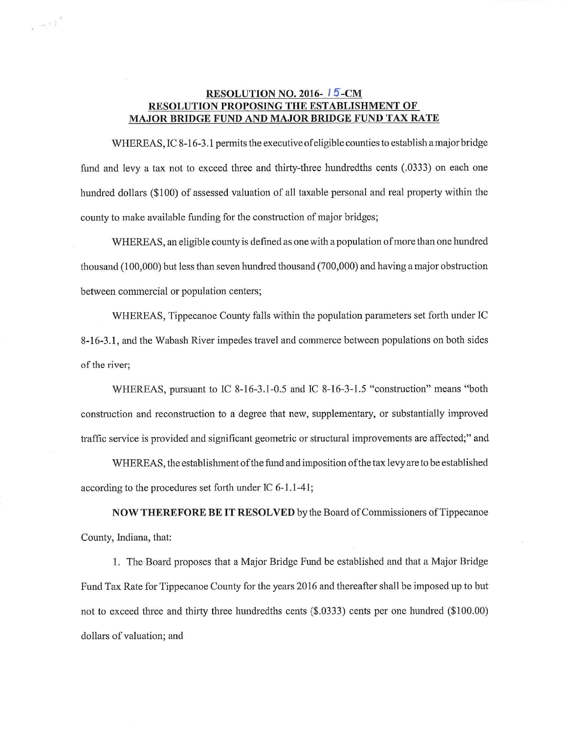## **RESOLUTION NO. 2016-15-CM** RESOLUTION PROPOSING THE ESTABLISHMENT OF MAJOR BRIDGE FUND AND MAJOR BRIDGE FUND TAX RATE

 $e^{-\frac{1}{2} \left( \frac{1}{2} \right)^2}$ 

WHEREAS, IC 8-16-3.1 permits the executive of eligible counties to establish a major bridge WHEREAS, IC 8-16-3.1 permits the executive of eligible counties to establish a major bridge<br>fund and levy a tax not to exceed three and thirty-three hundredths cents (.0333) on each one fund and levy a tax not to exceed three and thirty-three hundredths cents (.0333) on each one<br>hundred dollars (\$100) of assessed valuation of all taxable personal and real property within the hundred dollars (\$100) of assessed valuation of all taxable personal and real property within the county to make available funding for the construction of major bridges;

WHEREAS, an eligible county is defined as one with a population of more than one hundred WHEREAS, an eligible county is defined as one with a population of more than one hundred<br>thousand (100,000) but less than seven hundred thousand (700,000) and having a major obstruction thousand (100,000) but less than seven hund<br>between commercial or population centers; d (100,000) but less than seven hundred thousand (700,000) and having a major obstruction<br>1 commercial or population centers;<br>WHEREAS, Tippecanoe County falls within the population parameters set forth under IC

WHEREAS, Tippecanoe County falls within the population parameters set forth under IC<br>8-16-3.1, and the Wabash River impedes travel and commerce between populations on both sides 8-16-3.1, and the Wabash River impedes travel and commerce between populations on both sides of the river;

WHEREAS, pursuant to IC 8-16-3.1-0.5 and IC 8-16-3-1.5 "construction" means "both WHEREAS, pursuant to IC 8-16-3.1-0.5 and IC 8-16-3-1.5 "construction" means "both<br>construction and reconstruction to a degree that new, supplementary, or substantially improved traffic service is provided and significant geometric or structural improvements are affected;" and<br>traffic service is provided and significant geometric or structural improvements are affected;" and ervice is provided and significant geometric or structural improvements are affected;" and<br>WHEREAS, the establishment of the fund and imposition of the tax levy are to be established

traffic service is provided and significant geometric or structural improvements are affected;" and<br>WHEREAS, the establishment of the fund and imposition of the tax levy are to be established<br>according to the procedures se WHEREAS, the establishment of the fund and imposition of the tax levy are to be established<br>ng to the procedures set forth under IC 6-1.1-41;<br>NOW THEREFORE BE IT RESOLVED by the Board of Commissioners of Tippecanoe

County, Indiana, that:

1. The Board proposes that a Major Bridge Fund be established and that a Major Bridge Fund Tax Rate for Tippecanoe County for the years <sup>2016</sup> and thereafter shall be imposed up to but Fund Tax Rate for Tippecanoe County for the years 2016 and thereafter shall be imposed up to but<br>not to exceed three and thirty three hundredths cents (\$.0333) cents per one hundred (\$100.00) not to exceed three and<br>dollars of valuation; and